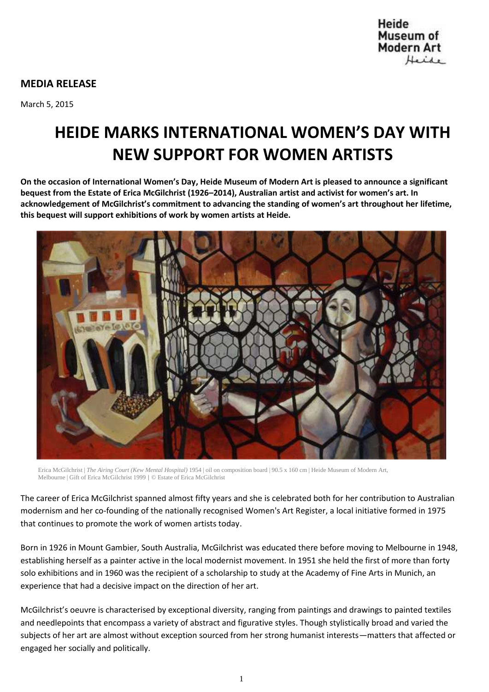

## **MEDIA RELEASE**

March 5, 2015

# **HEIDE MARKS INTERNATIONAL WOMEN'S DAY WITH NEW SUPPORT FOR WOMEN ARTISTS**

**On the occasion of International Women's Day, Heide Museum of Modern Art is pleased to announce a significant bequest from the Estate of Erica McGilchrist (1926–2014), Australian artist and activist for women's art. In acknowledgement of McGilchrist's commitment to advancing the standing of women's art throughout her lifetime, this bequest will support exhibitions of work by women artists at Heide.**



Erica McGilchrist | *The Airing Court (Kew Mental Hospital)* 1954 | oil on composition board | 90.5 x 160 cm | Heide Museum of Modern Art, Melbourne | Gift of Erica McGilchrist 1999 | © Estate of Erica McGilchrist

The career of Erica McGilchrist spanned almost fifty years and she is celebrated both for her contribution to Australian modernism and her co-founding of the nationally recognised Women's Art Register, a local initiative formed in 1975 that continues to promote the work of women artists today.

Born in 1926 in Mount Gambier, South Australia, McGilchrist was educated there before moving to Melbourne in 1948, establishing herself as a painter active in the local modernist movement. In 1951 she held the first of more than forty solo exhibitions and in 1960 was the recipient of a scholarship to study at the Academy of Fine Arts in Munich, an experience that had a decisive impact on the direction of her art.

McGilchrist's oeuvre is characterised by exceptional diversity, ranging from paintings and drawings to painted textiles and needlepoints that encompass a variety of abstract and figurative styles. Though stylistically broad and varied the subjects of her art are almost without exception sourced from her strong humanist interests—matters that affected or engaged her socially and politically.